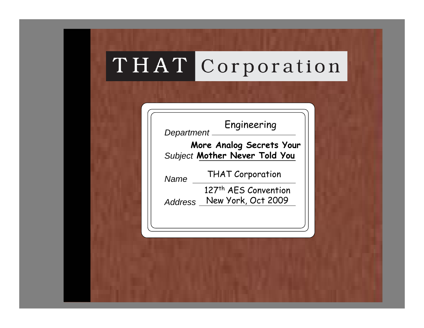# THAT Corporation

*Department*

*Subject* **Mother Never Told You More Analog Secrets Your** 

*Name*

THAT Corporation

Engineering

*Address* New York, Oct 2009127th AES Convention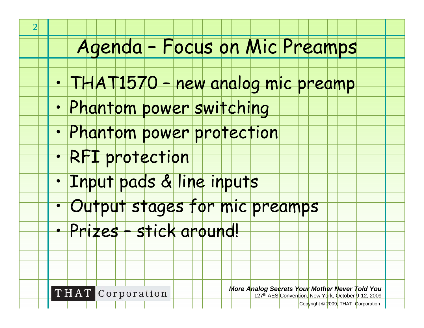#### Agenda – Focus on Mic Preamps

- •THAT1570 – new analog mic preamp
- •Phantom power switching
- •Phantom power protection
- RFI protection

**2**

•

•

•

•

- Input pads & line inputs
- Output stages for mic preamps
	- Prizes stick around!

**THAT** Corporation

*More Analog Secrets Your Mother Never Told You*

127th AES Convention, New York, October 9-12, 2009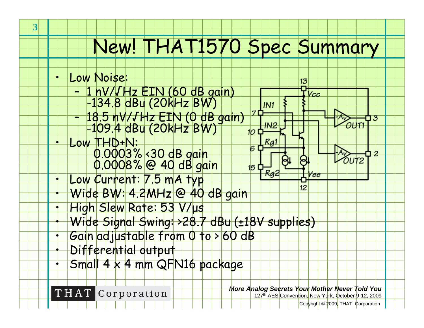# New! THAT1570 Spec Summary

Low Noise:

**3**

•

•

•

•

•

•

•

•

•

- –1 nV/√Hz EIN (60 dB gain) -134.8 dBu (20kHz BW)
- –+ 18.5 nV/√Hz EIN (0 dB gain)<br>| -109.4 dBu (20kHz BW)
- Low THD+N: 0.0003% <30 dB gain<br>0.0008% @ 40 dB gain
- Low Current: 7.5 mA typ Wide BW: 4.2MHz @ 40 dB gain
- High Slew Rate: 53 V/μ<sup>s</sup> Wide Signal Swing: >28.7 dBu (±18V supplies)
- Gain adjustable from 0 to > 60 dB
- Differential output
- Small 4 x 4 mm QFN16 package

**THAT** Corporation

*More Analog Secrets Your Mother Never Told You* 12<sup>7th</sup> AES Convention. New York, October 9-12, 2009

13

 $IN1$ 

Rg

 $\overline{R}a2$ 

 $7<sup>1</sup>$ 

 $10D$ 

 $\overline{6}$ 

 $15<sup>1</sup>$ 

Vcc

ree

 $12<sup>2</sup>$ 

OUT<sub>1</sub>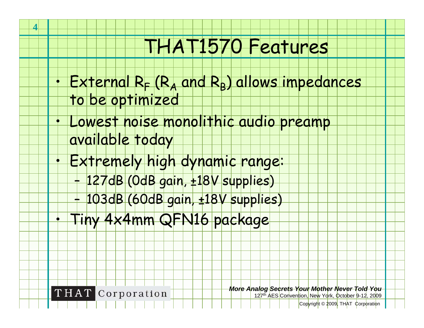# THAT1570 Features

- • $External R<sub>F</sub> (R<sub>A</sub> and R<sub>B</sub>) allows impedances$ to be optimized
	- Lowest noise monolithic audio preamp
	- available today

**4**

•

•

•

- Extremely high dynamic range:
	- –127dB (0dB gain, ±18V supplies)
	- –103dB (60dB gain, ±18V supplies)
	- Tiny 4x4mm QFN16 package

**THAT** Corporation

*More Analog Secrets Your Mother Never Told You* 12<sup>7th</sup> AES Convention. New York, October 9-12, 2009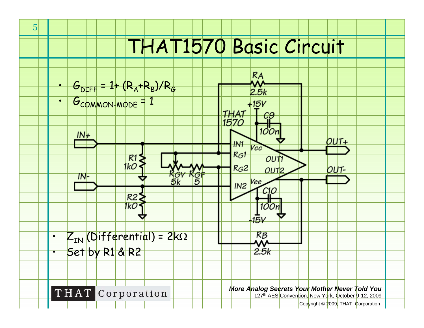# THAT1570 Basic Circuit



**5**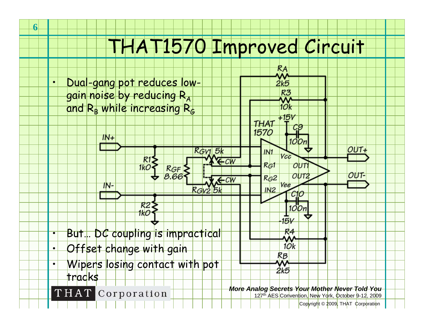# THAT1570 Improved Circuit



**6**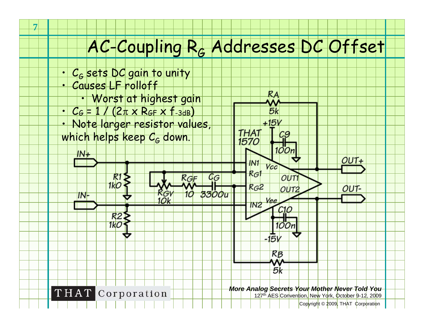#### AC-Coupling RG Addresses DC Offset

Бk

+15V

- • $\cdot$  C<sub>G</sub> sets DC gain to unity
- •Causes LF rolloff

**7**

- Worst at highest gain
- • $\cdot$   $C_G = 1 / (2\pi \times R_{GF} \times f_{-3dB})$
- Note larger resistor values, which helps keep  $\mathsf{G}_{\mathsf{G}}$  down.



**THAT** Corporation

*More Analog Secrets Your Mother Never Told You*

127th AES Convention, New York, October 9-12, 2009

<mark>lCop</mark>yright © 2009<mark>, THAT ¢orporatio</mark>n

 $OUT+$ 

OUT-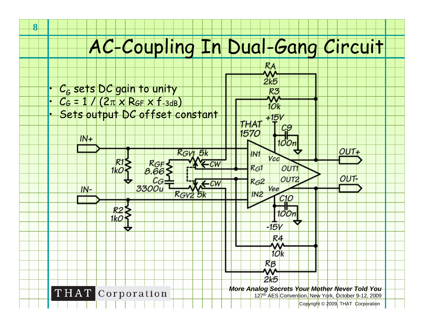# AC-Coupling In Dual-Gang Circuit

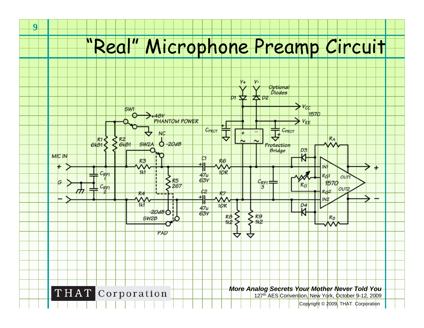# "Real" Microphone Preamp Circuit

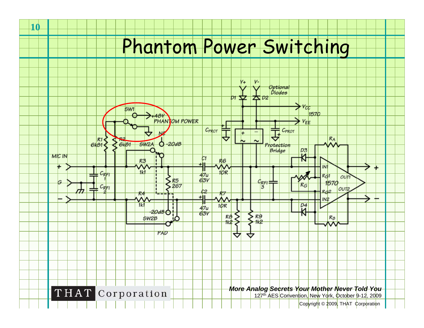# Phantom Power Switching



**10**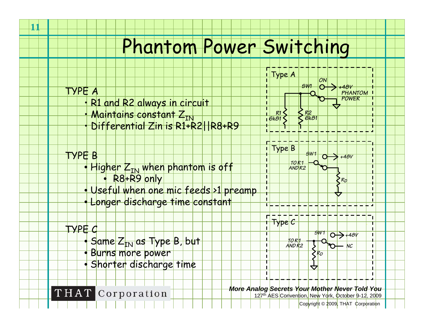#### Phantom Power Switching

**11**

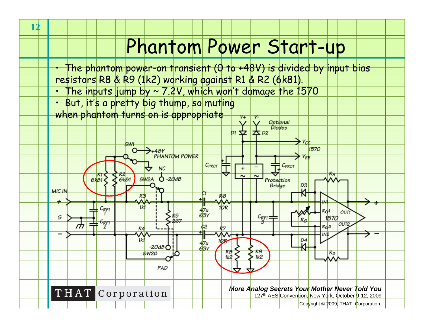## Phantom Power Start-up

- • The phantom power-on transient (0 to +48V) is divided by input bias resistors R8 & R9 (1k2) working against R1 & R2 (6k81).
- The inputs jump by ~ 7.2V, which won't damage the 1570
- • But, it's a pretty big thump, so muting when phantom turns on is appropriate

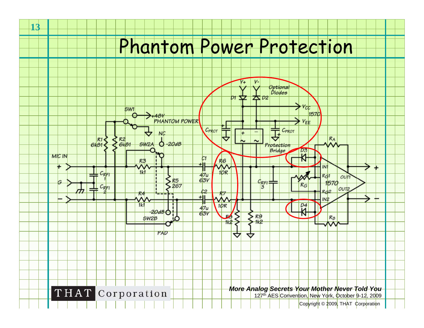

**13**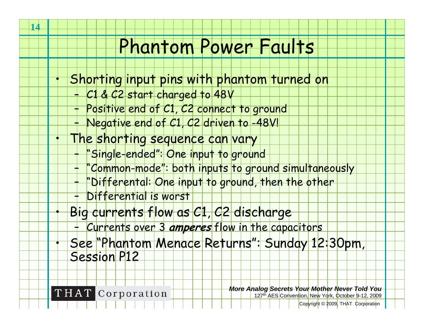#### Phantom Power Faults

- Shorting input pins with phantom turned on
	- C1 & C2 start charged to 48V
	- –Positive end of C1, C2 connect to ground
	- –Negative end of C1, C2 driven to -48V!
- The shorting sequence can vary
	- "Single-ended": One input to ground
	- – "Common-mode": both inputs to ground simultaneously
		- "Differental: One input to ground, then the other
	- –Differential is worst
	- Big currents flow as C1, C2 discharge
		- –Currents over 3 **amperes** flow in the capacitors
	- See "Phantom Menace Returns": Sunday 12:30pm, Session P12

**THAT** Corporation

*More Analog Secrets Your Mother Never Told You* 127th AES Convention, New York, October 9-12, 2009

Copyright © 2009, THAT Corporation

•

•

•

•

–

–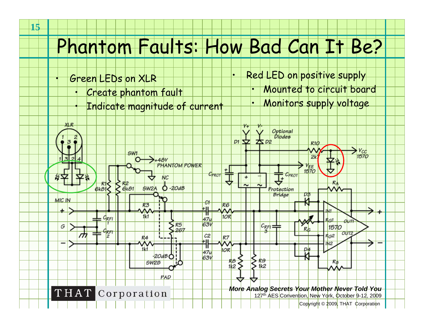## Phantom Faults: How Bad Can It Be?

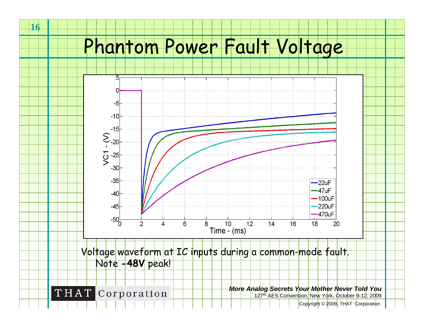## Phantom Power Fault Voltage

**16**



<mark>lCop</mark>yright © 2009<mark>, THAT ¢orporatio</mark>n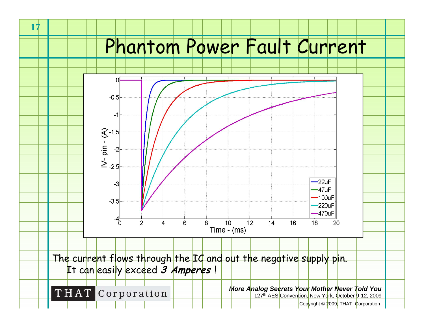#### Phantom Power Fault Current



**17**

<mark>lCop</mark>yright © 2009<mark>, THAT ¢orporatio</mark>n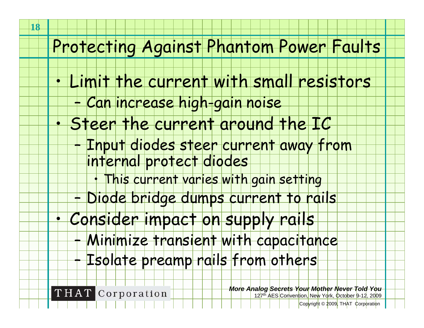#### Protecting Against Phantom Power Faults

- Limit the current with small resistors
	- –Can increase high-gain noise
- Steer the current around the IC
	- Input diodes steer current away from
	- internal protect diodes
		- •This current varies with gain setting
	- –Diode bridge dumps current to rails
- Consider impact on supply rails
	- Minimize transient with capacitance
	- Isolate preamp rails from others

**THAT** Corporation

*More Analog Secrets Your Mother Never Told You* 127th AES Convention, New York, October 9-12, 2009

Copyright © 2009, THAT Corporation

•

•

•

–

–

–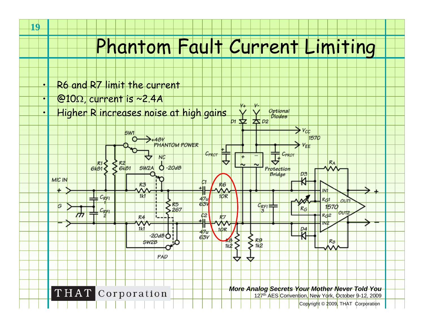## Phantom Fault Current Limiting

- •R6 and R7 limit the current
- • $\bigotimes 100$ , current is ~2.4A

**19**

•

 Higher R increases noise at high gainsOptional Diodes

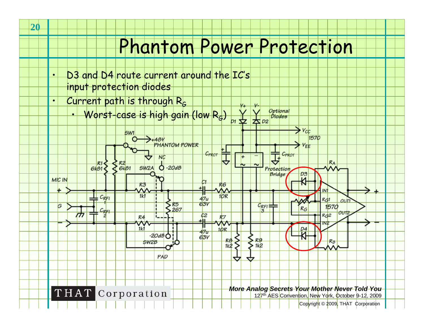- D3 and D4 route current around the IC's input protection diodes
- Current path is through  $R_G$ 
	- Worst-case is high gain (low  $R_G$ ) Optional •Diodes  $D1$  $\bigstar$  D2



•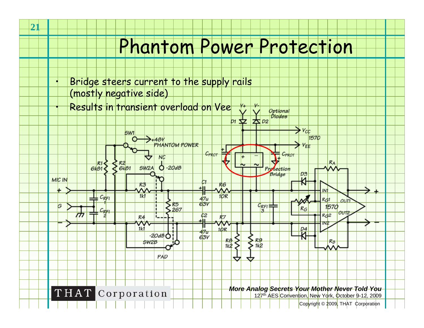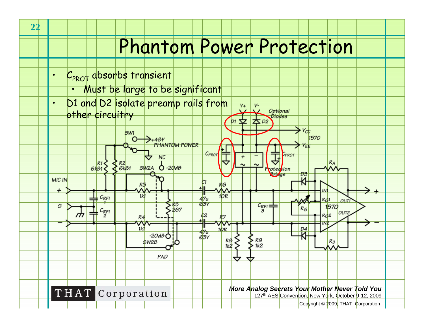- • $\cdot$  C<sub>PROT</sub> absorbs transient
	- •Must be large to be significant
	- D1 and D2 isolate preamp rails from other circuitry

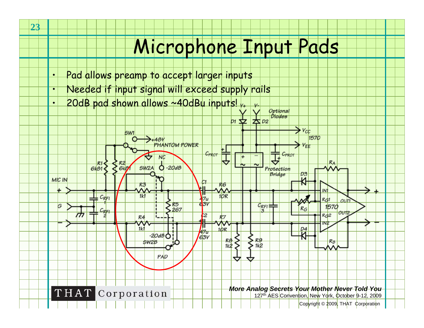# Microphone Input Pads

- •Pad allows preamp to accept larger inputs
- Needed if input signal will exceed supply rails
- 20dB pad shown allows ~40dBu inputs!



•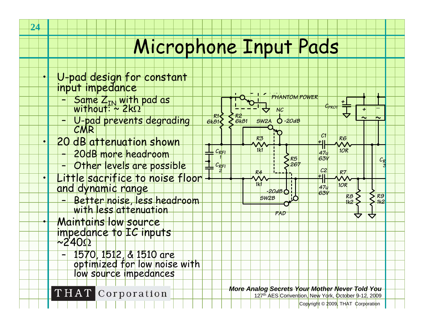## Microphone Input Pads

*R26k81*

*CRFI 1*

*2*

*CRFI*

*R16k81*

- U-pad design for constant input impedance
	- –– Same Z<sub>IN</sub> with pad as<br>∪ without: ~ 2kΩ
	- –U-pad prevents degrading CMR
- • 20 dB attenuation shown
	- –20dB more headroom
	- –Other levels are possible
- Little sacrifice to noise floor and dynamic range
	- – Better noise, less headroom with less attenuation
	- Maintains low source impedance to IC inputs Ω
		- – 1570, 1512, & 1510 are optimized for low noise with low source impedances

THAT Corporation

*More Analog Secrets Your Mother Never Told You*

*-20dB*

*PHANTOM POWER*

1 **I** I I I I I Σ Κ5 Ι Ι Ι ΘΟΥ Ι Ι ΙΙ ΙΙ Ι *C* 

*R5267*

*NC*

*+48V*

*-20dB*

*SW2B*

*1k1*

*R3*

*SW2A*

*1k1*

*R4*

*PAD*

12<sup>7th</sup> AES Convention. New York, October 9-12, 2009

Copyright © 2009, THAT Corporation

*10R*

*R6 C1*

*CPROT*

*10R*

*R81k2*

*R7*

*+*

*+*

*R*

*R9 1k2*

र्र

*3*

 *47u63V*

*C2+*

*47u63V*

*+*

•

•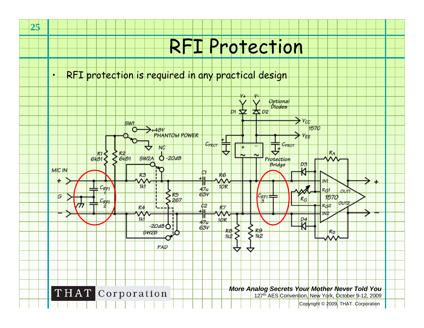# RFI Protection

•RFI protection is required in any practical design

**25**

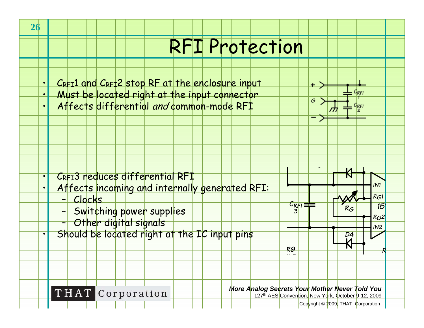## RFI Protection





- • Affects incoming and internally generated RFI:
	- –Clocks

•

**26**

- –Switching power supplies
- –Other digital signals

**THAT** Corporation

Should be located right at the IC input pins **Definition of the UP**  $\frac{1}{2}$ 

*More Analog Secrets Your Mother Never Told You*

*CRFI 3*

*R91k2*

127th AES Convention, New York, October 9-12, 2009

*g*

 $\ddot{}$ 

Copyright © 2009, THAT Corporation

*RG*

*R*

*<sup>157</sup>*

*IN1*

*RG1*

*IN2RG2*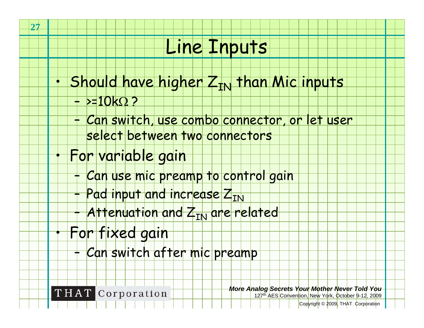#### Line Inputs

- • $\cdot$  Should have higher  $Z_{\text{IN}}$  than Mic inputs
	- >=10kΩ ?

**27**

•

•

- – Can switch, use combo connector, or let user
	- select between two connectors
- For variable gain
	- –Can use mic preamp to control gain
	- – $+$  Pad input and increase  $Z_{\rm IN}$
	- –+ Attenuation and Z<sub>IN</sub> are related
- For fixed gain
	- –<mark>+ Can switch after mic preamp</mark>

**THAT** Corporation

*More Analog Secrets Your Mother Never Told You* 12<sup>7th</sup> AES Convention, New York, October 9-12, 2009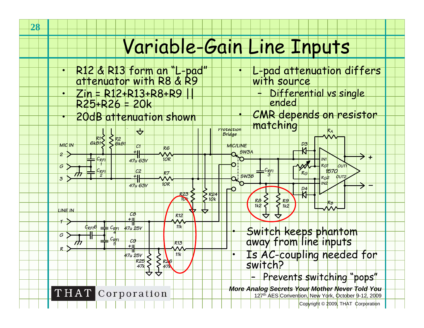## Variable-Gain Line Inputs

 R12 & R13 form an "L-pad" attenuator with R8 & R9 L-pad attenuation differs with source ••Differential vs single Zin = R12+R13+R8+R9 || •– $R25+R26 = 20k$  CMR depends on resistor matching 20dB attenuation shown ••*Protection*  $\Delta$ *R ABridge R1 6k81 R2 6k81 D3MIC IN MIC/LINEC1 R6SW3A+ 2*∧^ *+CRFI10RIN147u 63V1RG1 OUT1 GCRFI CRFI1570 C2 R7 RSW3BG32RG2 OUT2 3+ 10RIN247u 63V–*Ю *D4 R23* $\left| \left| \left| \right| \right| \right|$   $\left| \left| \left| \right| \right| \right|$   $\left| \left| \left| \right| \right| \right|$   $\left| \left| \right| \right|$ *10kR8R B 1k2 1k2***887** *LINE INC8*╤ *R12+T11kCRFI47u 25VCRFI6* Switch keeps phantom away from line inputs •*4GCRFIC9*M *R135+R* Is AC-coupling needed for switch? *11k47u 25V*•*R25R2647k47k*– Prevents switching "pops"*More Analog Secrets Your Mother Never Told You* **THAT** Corporation 127th AES Convention, New York, October 9-12, 2009 Copyright © 2009, THAT Corporation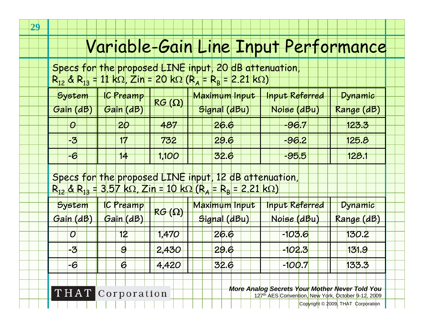#### Variable-Gain Line Input Performance

Specs for the proposed LINE input, 20 dB attenuation, R<sub>12</sub> & R<sub>13</sub> = 11 kΩ<mark>, Zin = 20 kΩ</mark> (R<sub>A</sub> = R<sub>B</sub> = 2.21 kΩ)

| System       | <b>IC Preamp</b> | $RG(\Omega)$ | Maximum Input | <b>Input Referred</b> | $D$ ynamic |
|--------------|------------------|--------------|---------------|-----------------------|------------|
| Gain<br>(dB) | Gain (dB)        |              | Signal (dBu)  | Noise (dBu            | Range (dB) |
| $\theta$     | <i>20</i>        | 487          | 26.6          | $-96.7$               | 123.3      |
| $-3$         | 17               | 732          | 29.6          | $-96.2$               | 125.8      |
| -6           | 14               | 1,10C        | 32.6          | -95.5                 | 128.       |

Specs for the proposed LINE input, 12 dB attenuation,  $R_{12}$  &  $R_{13}$  = 3.57 kΩ, Zin = 10 kΩ (R = R  $_{\rm B}$  = 2.21 kΩ)

| System    | <b>IC Preamp</b> | $RG(\Omega)$ | Maximum Input | <b>Input Referred</b> | Dynamic      |
|-----------|------------------|--------------|---------------|-----------------------|--------------|
| Gain (dB) | Gain (dB)        |              | Signal (dBu)  | <u> Noise (dBu</u>    | Range (dB)   |
| $\bm{O}$  | 12               | 1,470        | 26.6          | $-103.6$              | 130.2        |
| -3        |                  | 2,430        | 29.6          | <u>-102.3 </u>        | <u>131.9</u> |
| -6        | 6                | 4,420        | 32.6          | $-100.7$              | 133.3        |

THAT Corporation

*More Analog Secrets Your Mother Never Told You*

12<sup>7th</sup> AES Convention. New York, October 9-12, 2009

<mark>lCop</mark>yright © 2009<mark>, THAT ¢orporatio</mark>n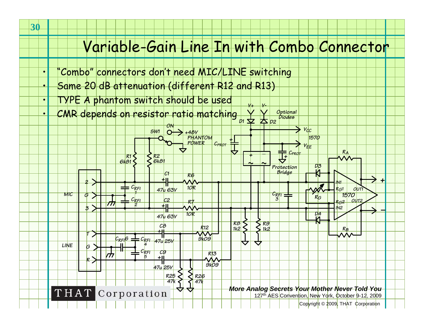#### Variable-Gain Line In with Combo Connector

*V+ V-*

- "Combo" connectors don't need MIC/LINE switching
- Same 20 dB attenuation (different R12 and R13)
- TYPE A phantom switch should be used
- CMR depends on resistor ratio matching *Optional Diodes*



•

•

•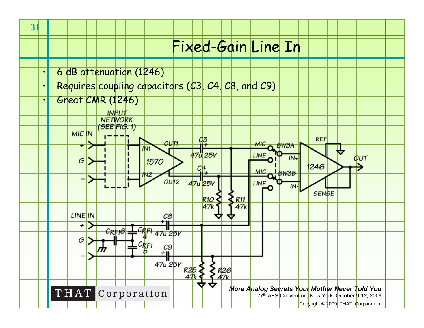#### Fixed-Gain Line In

- 6 dB attenuation (1246)
- Requires coupling capacitors (C3, C4, C8, and C9)
- •Great CMR (1246)



•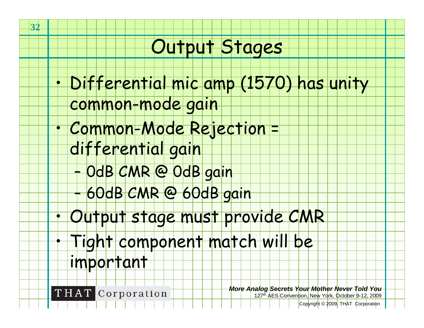#### Output Stages

- Differential mic amp (1570) has unity
	- common-mode gain
- Common-Mode Rejection =
	- differential gain
		- –0dB CMR @ 0dB gain
		- –60dB CMR @ 60dB gain
- Output stage must provide CMR
	- Tight component match will be
	- important

**THAT** Corporation

**32**

•

•

•

•

*More Analog Secrets Your Mother Never Told You* 127th AES Convention, New York, October 9-12, 2009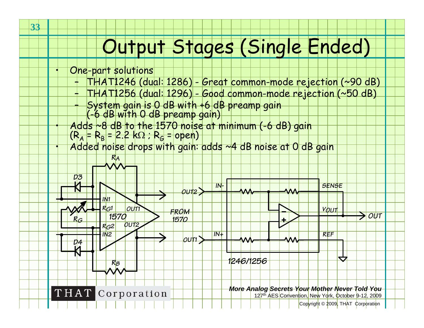# Output Stages (Single Ended)

- One-part solutions
	- –THAT1246 (dual: 1286) - Great common-mode rejection (~90 dB)
	- –THAT1256 (dual: 1296) - Good common-mode rejection (~50 dB)
	- – System gain is 0 dB with +6 dB preamp gain (-6 dB with 0 dB preamp gain)
		-
- $Adds$   $\sim$ 8 dB to the 1570 noise at minimum (-6 dB) gain
- $(R_A = R_B = 2.2 \text{ k}\Omega$ ;  $R_G =$  open)
- Added noise drops with gain: adds ~4 dB noise at 0 dB gain



•

•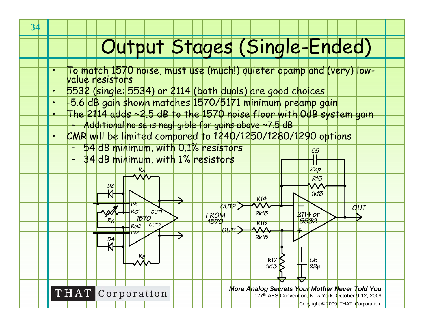# Output Stages (Single-Ended)

- To match 1570 noise, must use (much!) quieter opamp and (very) low- value resistors
- 5532 (single: 5534) or 2114 (both duals) are good choices
	- -5.6 dB gain shown matches 1570/5171 minimum preamp gain
	- The 2114 adds ~2.5 dB to the 1570 noise floor with 0dB system gain
	- –Additional noise is negligible for gains above ~7.5 dB
	- CMR will be limited compared to 1240/1250/1280/1290 options
		- –54 dB minimum, with 0.1% resistors
		- –34 dB minimum, with 1% resistors

*RA*



THAT Corporation

*More Analog Secrets Your Mother Never Told You*

*22p*

*C5*

127<sup>th</sup> AES Convention, New York, October 9-12, 2009

Copyright © 2009, THAT Corporation

•

•

•

•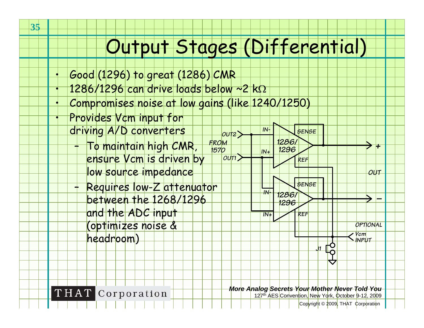# Output Stages (Differential)

*OUT1*

*OUT2*

- Good (1296) to great (1286) CMR
- 1286/1296 can drive loads below ~2 kΩ
	- Compromises noise at low gains (like 1240/1250)
	- Provides Vcm input for driving A/D converters

**35**

•

•

•

•

–

- *FROM 1570*– To maintain high CMR, ensure Vcm is driven by
	- low source impedance
	- Requires low-Z attenuator between the 1268/1296 and the ADC input (optimizes noise &

headroom)

THAT Corporation

*More Analog Secrets Your Mother Never Told You*

*SENSE IN-*

*1286/1296*

*1286/1296* *REF*

*to*  $\overline{p}$   $N_{+}$  1296

*SENSE*

*REF*

*IN+*

*IN-*

*IN+*

127th AES Convention, New York, October 9-12, 2009

*J1*

Copyright © 2009, THAT Corporation

*OUT*

*–*

*OPTIONAL*

*VcmINPUT*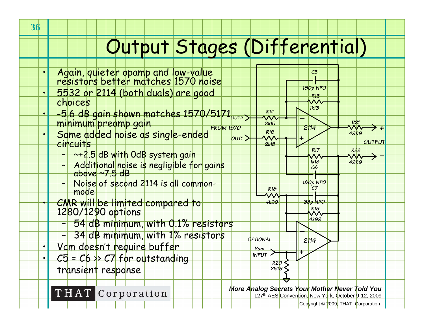# Output Stages (Differential)

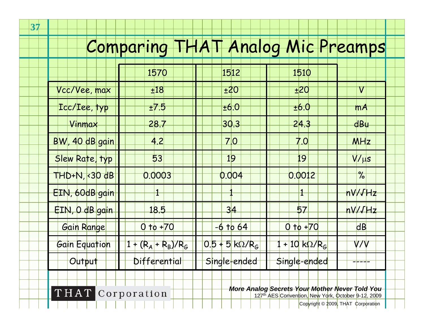# Comparing THAT Analog Mic Preamps

**37**

|                                                                                                                          | 1570                  | 1512                  | 1510                    |                   |  |  |
|--------------------------------------------------------------------------------------------------------------------------|-----------------------|-----------------------|-------------------------|-------------------|--|--|
| Vcc/Vee, max                                                                                                             | ±18                   | ±20                   | ±20                     | $\bm{\mathsf{V}}$ |  |  |
| Icc/Iee, typ                                                                                                             | ±7.5                  | ±6.0                  | ±6.0                    | mA                |  |  |
| Vinmax                                                                                                                   | 28.7                  | 30.3                  | 24.3                    | <b>dBu</b>        |  |  |
| BW, 40 dB gain                                                                                                           | <u>4.2</u>            | <u>7.0</u>            | 7.0                     | MHz               |  |  |
| Slew Rate, typ                                                                                                           | 53                    | 19                    | 19                      | $V/\mu s$         |  |  |
| THD+N, <30 dB                                                                                                            | 0.0003                | 0.004                 | 0.0012                  | $\%$              |  |  |
| EIN, 60dB gain                                                                                                           |                       |                       | $\overline{1}$          | nV/JHz            |  |  |
| EIN, O dB gain                                                                                                           | 18.5                  | 34                    | 57                      | nV/JHz            |  |  |
| Gain Range                                                                                                               | $0$ to $+70$          | $-6$ to $64$          | $0$ to $+70$            | dB                |  |  |
| Gain Equation                                                                                                            | $1 + (R_A + R_B)/R_G$ | $0.5 + 5$ kg/ $R_{G}$ | $+10$ kΩ/R <sub>G</sub> | V/V               |  |  |
| Output                                                                                                                   | Differential          | Single-ended          | Single-ended            |                   |  |  |
|                                                                                                                          |                       |                       |                         |                   |  |  |
| More Analog Secrets Your Mother Never Told You<br>THAT Corporation<br>127th AES Convention, New York, October 9-12, 2009 |                       |                       |                         |                   |  |  |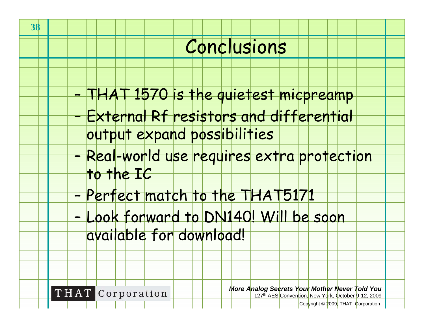### Conclusions

- THAT 1570 is the quietest micpreamp
	- External Rf resistors and differential
	- output expand possibilities
- – Real-world use requires extra protection to the IC
- –Perfect match to the THAT5171
- – Look forward to DN140! Will be soon available for download!

**THAT** Corporation

–

–

*More Analog Secrets Your Mother Never Told You* 12<sup>7th</sup> AES Convention. New York, October 9-12, 2009

Copyright © 2009, THAT Corporation

**38**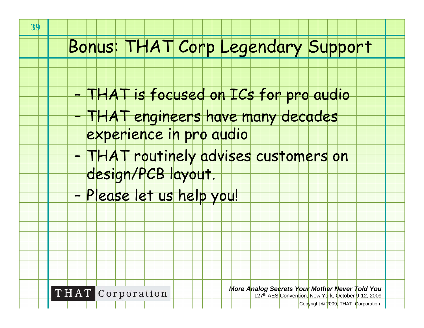#### Bonus: THAT Corp Legendary Support

- THAT is focused on ICs for pro audio
- THAT engineers have many decades
	- experience in pro audio
- THAT routinely advises customers on
	- design/PCB layout.
- –Please let us help you!



*More Analog Secrets Your Mother Never Told You* 12<sup>7th</sup> AES Convention. New York, October 9-12, 2009

Copyright © 2009, THAT Corporation

–

–

–